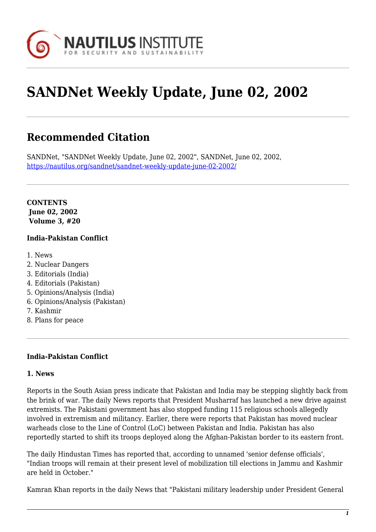

# **SANDNet Weekly Update, June 02, 2002**

# **Recommended Citation**

SANDNet, "SANDNet Weekly Update, June 02, 2002", SANDNet, June 02, 2002, <https://nautilus.org/sandnet/sandnet-weekly-update-june-02-2002/>

**CONTENTS June 02, 2002 Volume 3, #20**

#### **India-Pakistan Conflict**

- 1. News
- 2. Nuclear Dangers
- 3. Editorials (India)
- 4. Editorials (Pakistan)
- 5. Opinions/Analysis (India)
- 6. Opinions/Analysis (Pakistan)
- 7. Kashmir
- 8. Plans for peace

#### **India-Pakistan Conflict**

#### **1. News**

Reports in the South Asian press indicate that Pakistan and India may be stepping slightly back from the brink of war. The daily News reports that President Musharraf has launched a new drive against extremists. The Pakistani government has also stopped funding 115 religious schools allegedly involved in extremism and militancy. Earlier, there were reports that Pakistan has moved nuclear warheads close to the Line of Control (LoC) between Pakistan and India. Pakistan has also reportedly started to shift its troops deployed along the Afghan-Pakistan border to its eastern front.

The daily Hindustan Times has reported that, according to unnamed 'senior defense officials', "Indian troops will remain at their present level of mobilization till elections in Jammu and Kashmir are held in October."

Kamran Khan reports in the daily News that "Pakistani military leadership under President General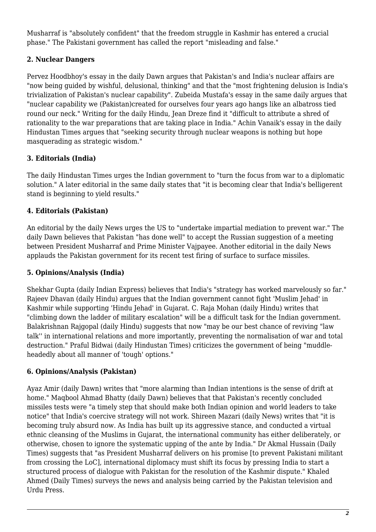Musharraf is "absolutely confident" that the freedom struggle in Kashmir has entered a crucial phase." The Pakistani government has called the report "misleading and false."

# **2. Nuclear Dangers**

Pervez Hoodbhoy's essay in the daily Dawn argues that Pakistan's and India's nuclear affairs are "now being guided by wishful, delusional, thinking" and that the "most frightening delusion is India's trivialization of Pakistan's nuclear capability". Zubeida Mustafa's essay in the same daily argues that "nuclear capability we (Pakistan)created for ourselves four years ago hangs like an albatross tied round our neck." Writing for the daily Hindu, Jean Dreze find it "difficult to attribute a shred of rationality to the war preparations that are taking place in India." Achin Vanaik's essay in the daily Hindustan Times argues that "seeking security through nuclear weapons is nothing but hope masquerading as strategic wisdom."

# **3. Editorials (India)**

The daily Hindustan Times urges the Indian government to "turn the focus from war to a diplomatic solution." A later editorial in the same daily states that "it is becoming clear that India's belligerent stand is beginning to yield results."

# **4. Editorials (Pakistan)**

An editorial by the daily News urges the US to "undertake impartial mediation to prevent war." The daily Dawn believes that Pakistan "has done well" to accept the Russian suggestion of a meeting between President Musharraf and Prime Minister Vajpayee. Another editorial in the daily News applauds the Pakistan government for its recent test firing of surface to surface missiles.

### **5. Opinions/Analysis (India)**

Shekhar Gupta (daily Indian Express) believes that India's "strategy has worked marvelously so far." Rajeev Dhavan (daily Hindu) argues that the Indian government cannot fight 'Muslim Jehad' in Kashmir while supporting 'Hindu Jehad' in Gujarat. C. Raja Mohan (daily Hindu) writes that "climbing down the ladder of military escalation" will be a difficult task for the Indian government. Balakrishnan Rajgopal (daily Hindu) suggests that now "may be our best chance of reviving "law talk'' in international relations and more importantly, preventing the normalisation of war and total destruction." Praful Bidwai (daily Hindustan Times) criticizes the government of being "muddleheadedly about all manner of 'tough' options."

### **6. Opinions/Analysis (Pakistan)**

Ayaz Amir (daily Dawn) writes that "more alarming than Indian intentions is the sense of drift at home." Maqbool Ahmad Bhatty (daily Dawn) believes that that Pakistan's recently concluded missiles tests were "a timely step that should make both Indian opinion and world leaders to take notice" that India's coercive strategy will not work. Shireen Mazari (daily News) writes that "it is becoming truly absurd now. As India has built up its aggressive stance, and conducted a virtual ethnic cleansing of the Muslims in Gujarat, the international community has either deliberately, or otherwise, chosen to ignore the systematic upping of the ante by India." Dr Akmal Hussain (Daily Times) suggests that "as President Musharraf delivers on his promise [to prevent Pakistani militant from crossing the LoC], international diplomacy must shift its focus by pressing India to start a structured process of dialogue with Pakistan for the resolution of the Kashmir dispute." Khaled Ahmed (Daily Times) surveys the news and analysis being carried by the Pakistan television and Urdu Press.